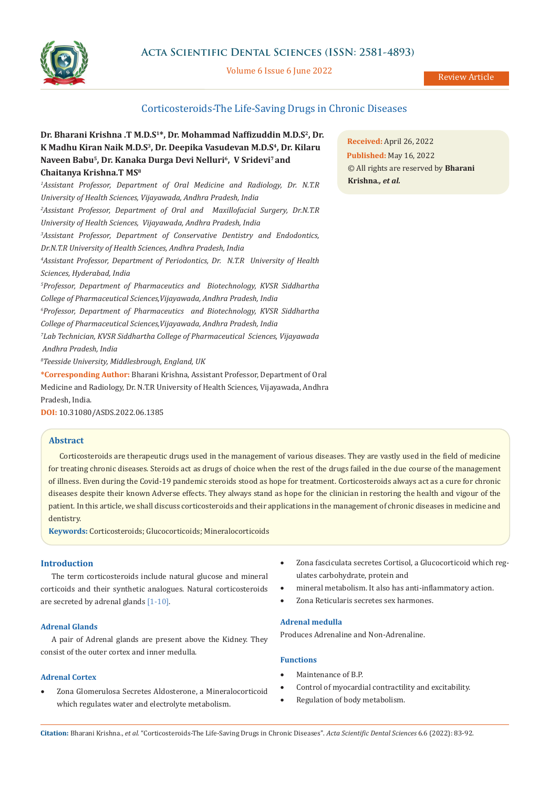

# **Acta Scientific Dental Sciences (ISSN: 2581-4893)**

#### Volume 6 Issue 6 June 2022

Review Article

# Corticosteroids-The Life-Saving Drugs in Chronic Diseases

# **Dr. Bharani Krishna .T M.D.S1\*, Dr. Mohammad Naffizuddin M.D.S2, Dr. K Madhu Kiran Naik M.D.S<sup>3</sup>, Dr. Deepika Vasudevan M.D.S<sup>4</sup>, Dr. Kilaru Naveen Babu<sup>5</sup>, Dr. Kanaka Durga Devi Nelluri<sup>6</sup>, V Sridevi7 and Chaitanya Krishna.T MS8**

*1 Assistant Professor, Department of Oral Medicine and Radiology, Dr. N.T.R University of Health Sciences, Vijayawada, Andhra Pradesh, India 2 Assistant Professor, Department of Oral and Maxillofacial Surgery, Dr.N.T.R University of Health Sciences, Vijayawada, Andhra Pradesh, India 3 Assistant Professor, Department of Conservative Dentistry and Endodontics, Dr.N.T.R University of Health Sciences, Andhra Pradesh, India 4 Assistant Professor, Department of Periodontics, Dr. N.T.R University of Health Sciences, Hyderabad, India 5 Professor, Department of Pharmaceutics and Biotechnology, KVSR Siddhartha College of Pharmaceutical Sciences,Vijayawada, Andhra Pradesh, India 6 Professor, Department of Pharmaceutics and Biotechnology, KVSR Siddhartha College of Pharmaceutical Sciences,Vijayawada, Andhra Pradesh, India 7 Lab Technician, KVSR Siddhartha College of Pharmaceutical Sciences, Vijayawada Andhra Pradesh, India 8 Teesside University, Middlesbrough, England, UK* **\*Corresponding Author:** Bharani Krishna, Assistant Professor, Department of Oral

Medicine and Radiology, Dr. N.T.R University of Health Sciences, Vijayawada, Andhra Pradesh, India.

**DOI:** [10.31080/ASDS.2022.06.1385](https://actascientific.com/ASDS/pdf/ASDS-06-1385.pdf)

## **Abstract**

Corticosteroids are therapeutic drugs used in the management of various diseases. They are vastly used in the field of medicine for treating chronic diseases. Steroids act as drugs of choice when the rest of the drugs failed in the due course of the management of illness. Even during the Covid-19 pandemic steroids stood as hope for treatment. Corticosteroids always act as a cure for chronic diseases despite their known Adverse effects. They always stand as hope for the clinician in restoring the health and vigour of the patient. In this article, we shall discuss corticosteroids and their applications in the management of chronic diseases in medicine and dentistry.

**Keywords:** Corticosteroids; Glucocorticoids; Mineralocorticoids

## **Introduction**

The term corticosteroids include natural glucose and mineral corticoids and their synthetic analogues. Natural corticosteroids are secreted by adrenal glands [1-10].

# **Adrenal Glands**

A pair of Adrenal glands are present above the Kidney. They consist of the outer cortex and inner medulla.

# **Adrenal Cortex**

Zona Glomerulosa Secretes Aldosterone, a Mineralocorticoid which regulates water and electrolyte metabolism.

- Zona fasciculata secretes Cortisol, a Glucocorticoid which regulates carbohydrate, protein and
	- mineral metabolism. It also has anti-inflammatory action.
- Zona Reticularis secretes sex harmones.

# **Adrenal medulla**

Produces Adrenaline and Non-Adrenaline.

# **Functions**

- Maintenance of B.P.
- Control of myocardial contractility and excitability.
- Regulation of body metabolism.

**Received:** April 26, 2022 **Published:** May 16, 2022 © All rights are reserved by **Bharani Krishna***., et al.*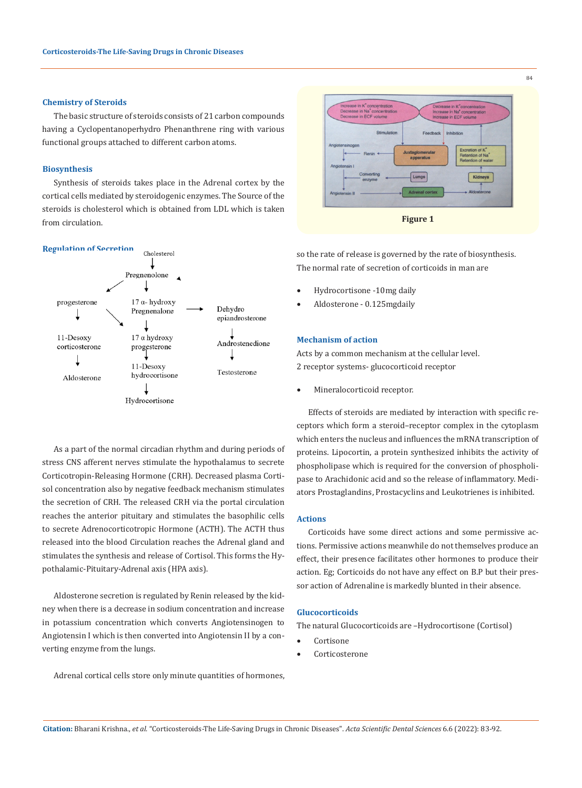#### **Chemistry of Steroids**

The basic structure of steroids consists of 21 carbon compounds having a Cyclopentanoperhydro Phenanthrene ring with various functional groups attached to different carbon atoms.

#### **Biosynthesis**

Synthesis of steroids takes place in the Adrenal cortex by the cortical cells mediated by steroidogenic enzymes. The Source of the steroids is cholesterol which is obtained from LDL which is taken from circulation.



As a part of the normal circadian rhythm and during periods of stress CNS afferent nerves stimulate the hypothalamus to secrete Corticotropin-Releasing Hormone (CRH). Decreased plasma Cortisol concentration also by negative feedback mechanism stimulates the secretion of CRH. The released CRH via the portal circulation reaches the anterior pituitary and stimulates the basophilic cells to secrete Adrenocorticotropic Hormone (ACTH). The ACTH thus released into the blood Circulation reaches the Adrenal gland and stimulates the synthesis and release of Cortisol. This forms the Hypothalamic-Pituitary-Adrenal axis (HPA axis).

Aldosterone secretion is regulated by Renin released by the kidney when there is a decrease in sodium concentration and increase in potassium concentration which converts Angiotensinogen to Angiotensin I which is then converted into Angiotensin II by a converting enzyme from the lungs.

Adrenal cortical cells store only minute quantities of hormones,



so the rate of release is governed by the rate of biosynthesis. The normal rate of secretion of corticoids in man are

- Hydrocortisone -10mg daily
- Aldosterone 0.125mgdaily

# **Mechanism of action**

Acts by a common mechanism at the cellular level. 2 receptor systems- glucocorticoid receptor

Mineralocorticoid receptor.

Effects of steroids are mediated by interaction with specific receptors which form a steroid–receptor complex in the cytoplasm which enters the nucleus and influences the mRNA transcription of proteins. Lipocortin, a protein synthesized inhibits the activity of phospholipase which is required for the conversion of phospholipase to Arachidonic acid and so the release of inflammatory. Mediators Prostaglandins, Prostacyclins and Leukotrienes is inhibited.

#### **Actions**

Corticoids have some direct actions and some permissive actions. Permissive actions meanwhile do not themselves produce an effect, their presence facilitates other hormones to produce their action. Eg; Corticoids do not have any effect on B.P but their pressor action of Adrenaline is markedly blunted in their absence.

#### **Glucocorticoids**

The natural Glucocorticoids are –Hydrocortisone (Cortisol)

- **Cortisone**
- Corticosterone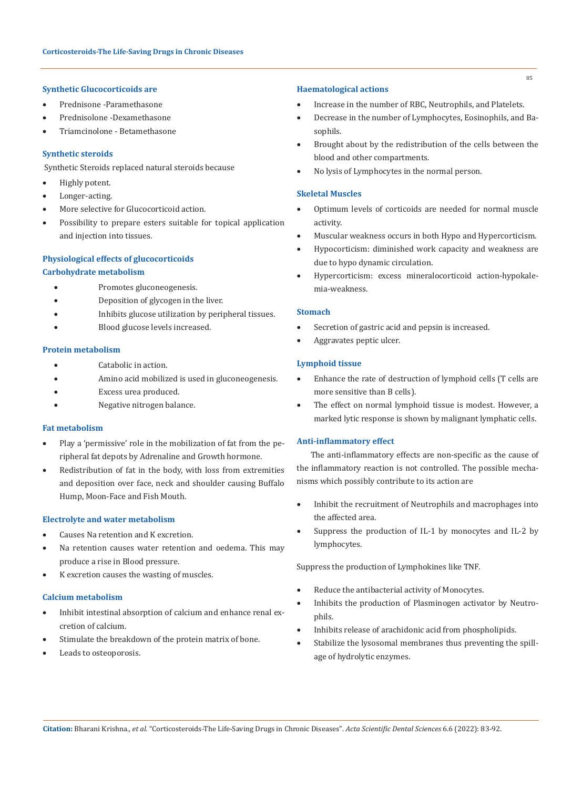#### **Synthetic Glucocorticoids are**

- Prednisone -Paramethasone
- Prednisolone -Dexamethasone
- Triamcinolone Betamethasone

# **Synthetic steroids**

Synthetic Steroids replaced natural steroids because

- • Highly potent.
- Longer-acting.
- More selective for Glucocorticoid action.
- Possibility to prepare esters suitable for topical application and injection into tissues.

#### **Physiological effects of glucocorticoids**

## **Carbohydrate metabolism**

- Promotes gluconeogenesis.
- Deposition of glycogen in the liver.
- • Inhibits glucose utilization by peripheral tissues.
- Blood glucose levels increased.

# **Protein metabolism**

- Catabolic in action.
- Amino acid mobilized is used in gluconeogenesis.
- **Excess urea produced.**
- Negative nitrogen balance.

## **Fat metabolism**

- Play a 'permissive' role in the mobilization of fat from the peripheral fat depots by Adrenaline and Growth hormone.
- • Redistribution of fat in the body, with loss from extremities and deposition over face, neck and shoulder causing Buffalo Hump, Moon-Face and Fish Mouth.

#### **Electrolyte and water metabolism**

- • Causes Na retention and K excretion.
- Na retention causes water retention and oedema. This may produce a rise in Blood pressure.
- K excretion causes the wasting of muscles.

# **Calcium metabolism**

- • Inhibit intestinal absorption of calcium and enhance renal excretion of calcium.
- Stimulate the breakdown of the protein matrix of bone.
- Leads to osteoporosis.

#### **Haematological actions**

- Increase in the number of RBC, Neutrophils, and Platelets.
- Decrease in the number of Lymphocytes, Eosinophils, and Basophils.
- Brought about by the redistribution of the cells between the blood and other compartments.
- No lysis of Lymphocytes in the normal person.

# **Skeletal Muscles**

- Optimum levels of corticoids are needed for normal muscle activity.
- Muscular weakness occurs in both Hypo and Hypercorticism.
- Hypocorticism: diminished work capacity and weakness are due to hypo dynamic circulation.
- Hypercorticism: excess mineralocorticoid action-hypokalemia-weakness.

## **Stomach**

- Secretion of gastric acid and pepsin is increased.
- Aggravates peptic ulcer.

# **Lymphoid tissue**

- Enhance the rate of destruction of lymphoid cells (T cells are more sensitive than B cells).
- The effect on normal lymphoid tissue is modest. However, a marked lytic response is shown by malignant lymphatic cells.

# **Anti-inflammatory effect**

 The anti-inflammatory effects are non-specific as the cause of the inflammatory reaction is not controlled. The possible mechanisms which possibly contribute to its action are

- Inhibit the recruitment of Neutrophils and macrophages into the affected area.
- Suppress the production of IL-1 by monocytes and IL-2 by lymphocytes.

Suppress the production of Lymphokines like TNF.

- Reduce the antibacterial activity of Monocytes.
- Inhibits the production of Plasminogen activator by Neutrophils.
- Inhibits release of arachidonic acid from phospholipids.
- Stabilize the lysosomal membranes thus preventing the spillage of hydrolytic enzymes.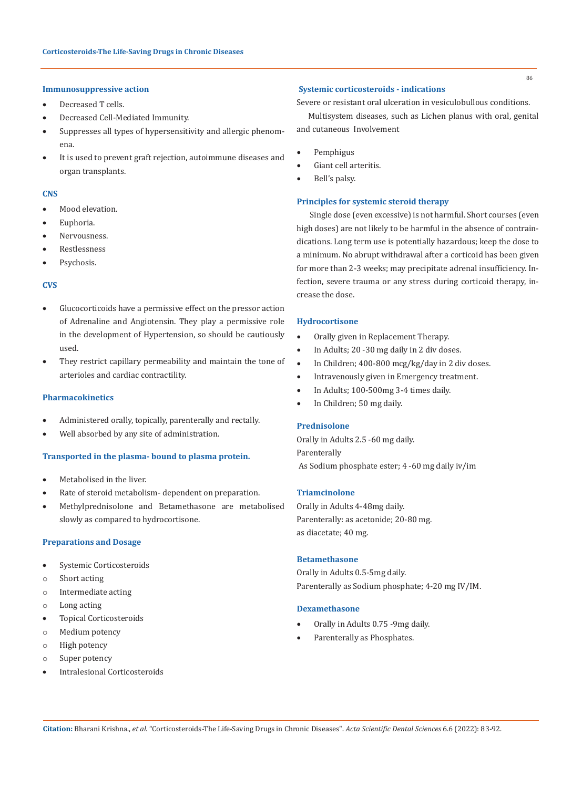# **Immunosuppressive action**

- Decreased T cells.
- Decreased Cell-Mediated Immunity.
- • Suppresses all types of hypersensitivity and allergic phenomena.
- • It is used to prevent graft rejection, autoimmune diseases and organ transplants.

#### **CNS**

- Mood elevation.
- Euphoria.
- Nervousness.
- **Restlessness**
- Psychosis.

## **CVS**

- • Glucocorticoids have a permissive effect on the pressor action of Adrenaline and Angiotensin. They play a permissive role in the development of Hypertension, so should be cautiously used.
- • They restrict capillary permeability and maintain the tone of arterioles and cardiac contractility.

## **Pharmacokinetics**

- Administered orally, topically, parenterally and rectally.
- Well absorbed by any site of administration.

# **Transported in the plasma- bound to plasma protein.**

- • Metabolised in the liver.
- Rate of steroid metabolism- dependent on preparation.
- Methylprednisolone and Betamethasone are metabolised slowly as compared to hydrocortisone.

#### **Preparations and Dosage**

- • Systemic Corticosteroids
- o Short acting
- o Intermediate acting
- o Long acting
- • Topical Corticosteroids
- o Medium potency
- o High potency
- o Super potency
- Intralesional Corticosteroids

#### **Systemic corticosteroids - indications**

Severe or resistant oral ulceration in vesiculobullous conditions.

Multisystem diseases, such as Lichen planus with oral, genital and cutaneous Involvement

- **Pemphigus**
- Giant cell arteritis.
- Bell's palsy.

#### **Principles for systemic steroid therapy**

 Single dose (even excessive) is not harmful. Short courses (even high doses) are not likely to be harmful in the absence of contraindications. Long term use is potentially hazardous; keep the dose to a minimum. No abrupt withdrawal after a corticoid has been given for more than 2-3 weeks; may precipitate adrenal insufficiency. Infection, severe trauma or any stress during corticoid therapy, increase the dose.

#### **Hydrocortisone**

- • Orally given in Replacement Therapy.
- In Adults; 20 -30 mg daily in 2 div doses.
- • In Children; 400-800 mcg/kg/day in 2 div doses.
- Intravenously given in Emergency treatment.
- In Adults; 100-500mg 3-4 times daily.
- In Children; 50 mg daily.

# **Prednisolone**

Orally in Adults 2.5 -60 mg daily. Parenterally As Sodium phosphate ester; 4 -60 mg daily iv/im

# **Triamcinolone**

Orally in Adults 4-48mg daily. Parenterally: as acetonide; 20-80 mg. as diacetate; 40 mg.

# **Betamethasone**

Orally in Adults 0.5-5mg daily. Parenterally as Sodium phosphate; 4-20 mg IV/IM.

#### **Dexamethasone**

- Orally in Adults 0.75 -9mg daily.
- Parenterally as Phosphates.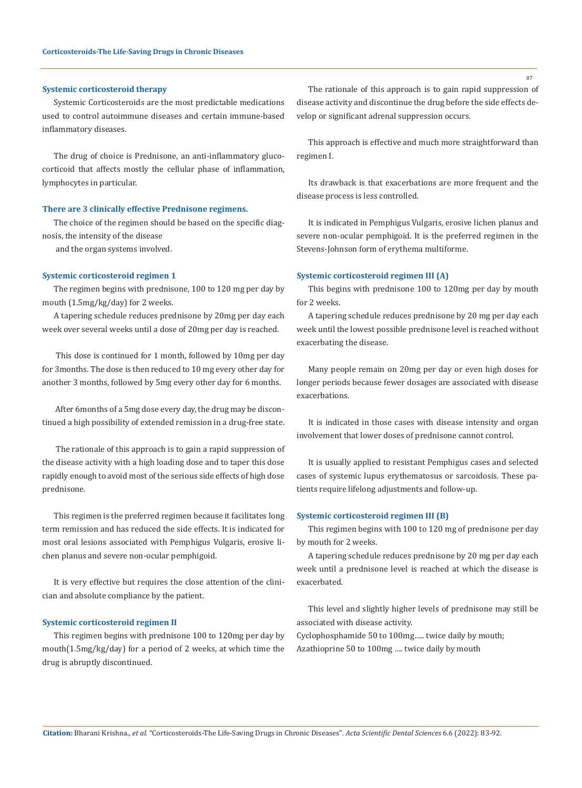#### **Systemic corticosteroid therapy**

Systemic Corticosteroids are the most predictable medications used to control autoimmune diseases and certain immune-based inflammatory diseases.

The drug of choice is Prednisone, an anti-inflammatory glucocorticoid that affects mostly the cellular phase of inflammation, lymphocytes in particular.

#### **There are 3 clinically effective Prednisone regimens.**

The choice of the regimen should be based on the specific diagnosis, the intensity of the disease

and the organ systems involved.

#### **Systemic corticosteroid regimen 1**

The regimen begins with prednisone, 100 to 120 mg per day by mouth (1.5mg/kg/day) for 2 weeks.

A tapering schedule reduces prednisone by 20mg per day each week over several weeks until a dose of 20mg per day is reached.

 This dose is continued for 1 month, followed by 10mg per day for 3months. The dose is then reduced to 10 mg every other day for another 3 months, followed by 5mg every other day for 6 months.

 After 6months of a 5mg dose every day, the drug may be discontinued a high possibility of extended remission in a drug-free state.

 The rationale of this approach is to gain a rapid suppression of the disease activity with a high loading dose and to taper this dose rapidly enough to avoid most of the serious side effects of high dose prednisone.

This regimen is the preferred regimen because it facilitates long term remission and has reduced the side effects. It is indicated for most oral lesions associated with Pemphigus Vulgaris, erosive lichen planus and severe non-ocular pemphigoid.

It is very effective but requires the close attention of the clinician and absolute compliance by the patient.

#### **Systemic corticosteroid regimen II**

This regimen begins with prednisone 100 to 120mg per day by mouth(1.5mg/kg/day) for a period of 2 weeks, at which time the drug is abruptly discontinued.

The rationale of this approach is to gain rapid suppression of disease activity and discontinue the drug before the side effects develop or significant adrenal suppression occurs.

This approach is effective and much more straightforward than regimen I.

Its drawback is that exacerbations are more frequent and the disease process is less controlled.

It is indicated in Pemphigus Vulgaris, erosive lichen planus and severe non-ocular pemphigoid. It is the preferred regimen in the Stevens-Johnson form of erythema multiforme.

#### **Systemic corticosteroid regimen III (A)**

This begins with prednisone 100 to 120mg per day by mouth for 2 weeks.

A tapering schedule reduces prednisone by 20 mg per day each week until the lowest possible prednisone level is reached without exacerbating the disease.

Many people remain on 20mg per day or even high doses for longer periods because fewer dosages are associated with disease exacerbations.

It is indicated in those cases with disease intensity and organ involvement that lower doses of prednisone cannot control.

It is usually applied to resistant Pemphigus cases and selected cases of systemic lupus erythematosus or sarcoidosis. These patients require lifelong adjustments and follow-up.

## **Systemic corticosteroid regimen III (B)**

This regimen begins with 100 to 120 mg of prednisone per day by mouth for 2 weeks.

A tapering schedule reduces prednisone by 20 mg per day each week until a prednisone level is reached at which the disease is exacerbated.

This level and slightly higher levels of prednisone may still be associated with disease activity.

Cyclophosphamide 50 to 100mg….. twice daily by mouth; Azathioprine 50 to 100mg …. twice daily by mouth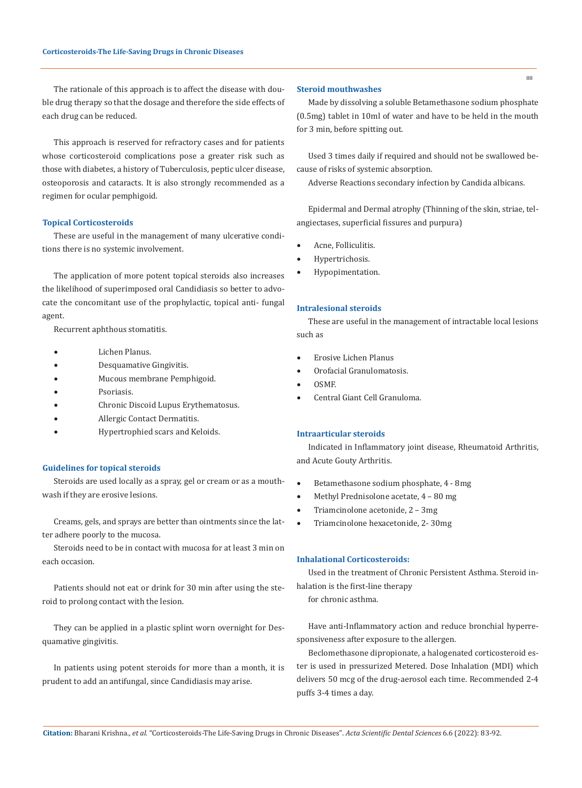The rationale of this approach is to affect the disease with double drug therapy so that the dosage and therefore the side effects of each drug can be reduced.

This approach is reserved for refractory cases and for patients whose corticosteroid complications pose a greater risk such as those with diabetes, a history of Tuberculosis, peptic ulcer disease, osteoporosis and cataracts. It is also strongly recommended as a regimen for ocular pemphigoid.

# **Topical Corticosteroids**

These are useful in the management of many ulcerative conditions there is no systemic involvement.

The application of more potent topical steroids also increases the likelihood of superimposed oral Candidiasis so better to advocate the concomitant use of the prophylactic, topical anti- fungal agent.

Recurrent aphthous stomatitis.

- Lichen Planus.
- Desquamative Gingivitis.
- Mucous membrane Pemphigoid.
- Psoriasis.
- Chronic Discoid Lupus Erythematosus.
- Allergic Contact Dermatitis.
- Hypertrophied scars and Keloids.

#### **Guidelines for topical steroids**

Steroids are used locally as a spray, gel or cream or as a mouthwash if they are erosive lesions.

Creams, gels, and sprays are better than ointments since the latter adhere poorly to the mucosa.

Steroids need to be in contact with mucosa for at least 3 min on each occasion.

Patients should not eat or drink for 30 min after using the steroid to prolong contact with the lesion.

They can be applied in a plastic splint worn overnight for Desquamative gingivitis.

In patients using potent steroids for more than a month, it is prudent to add an antifungal, since Candidiasis may arise.

#### **Steroid mouthwashes**

Made by dissolving a soluble Betamethasone sodium phosphate (0.5mg) tablet in 10ml of water and have to be held in the mouth for 3 min, before spitting out.

Used 3 times daily if required and should not be swallowed because of risks of systemic absorption.

Adverse Reactions secondary infection by Candida albicans.

Epidermal and Dermal atrophy (Thinning of the skin, striae, telangiectases, superficial fissures and purpura)

- Acne, Folliculitis.
- Hypertrichosis.
- Hypopimentation.

# **Intralesional steroids**

These are useful in the management of intractable local lesions such as

- **Erosive Lichen Planus**
- Orofacial Granulomatosis.
- OSMF.
- Central Giant Cell Granuloma.

# **Intraarticular steroids**

Indicated in Inflammatory joint disease, Rheumatoid Arthritis, and Acute Gouty Arthritis.

- Betamethasone sodium phosphate, 4 8mg
- Methyl Prednisolone acetate,  $4 80$  mg
- Triamcinolone acetonide, 2 3mg
- Triamcinolone hexacetonide, 2-30mg

#### **Inhalational Corticosteroids:**

Used in the treatment of Chronic Persistent Asthma. Steroid inhalation is the first-line therapy

for chronic asthma.

Have anti-Inflammatory action and reduce bronchial hyperresponsiveness after exposure to the allergen.

Beclomethasone dipropionate, a halogenated corticosteroid ester is used in pressurized Metered. Dose Inhalation (MDI) which delivers 50 mcg of the drug-aerosol each time. Recommended 2-4 puffs 3-4 times a day.

88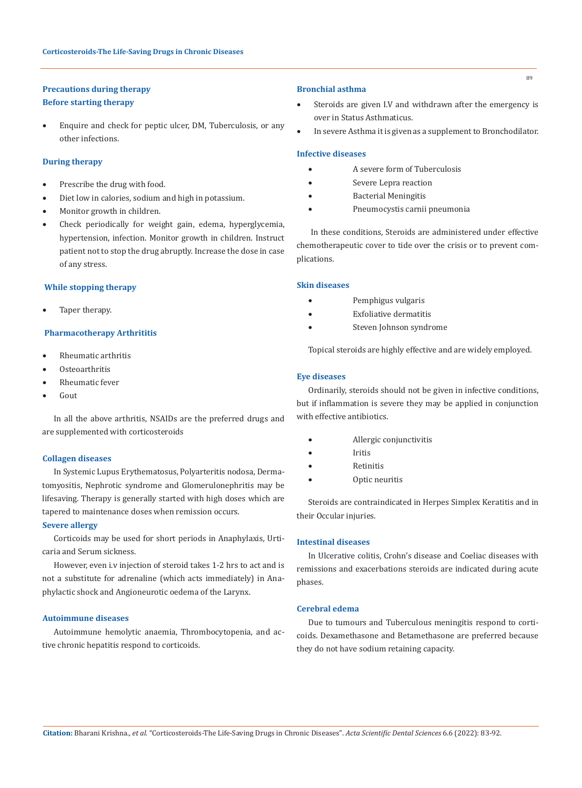# **Precautions during therapy**

# **Before starting therapy**

Enquire and check for peptic ulcer, DM, Tuberculosis, or any other infections.

# **During therapy**

- Prescribe the drug with food.
- Diet low in calories, sodium and high in potassium.
- Monitor growth in children.
- • Check periodically for weight gain, edema, hyperglycemia, hypertension, infection. Monitor growth in children. Instruct patient not to stop the drug abruptly. Increase the dose in case of any stress.

#### **While stopping therapy**

Taper therapy.

# **Pharmacotherapy Arthrititis**

- Rheumatic arthritis
- Osteoarthritis
- Rheumatic fever
- Gout

In all the above arthritis, NSAIDs are the preferred drugs and are supplemented with corticosteroids

#### **Collagen diseases**

In Systemic Lupus Erythematosus, Polyarteritis nodosa, Dermatomyositis, Nephrotic syndrome and Glomerulonephritis may be lifesaving. Therapy is generally started with high doses which are tapered to maintenance doses when remission occurs.

# **Severe allergy**

Corticoids may be used for short periods in Anaphylaxis, Urticaria and Serum sickness.

However, even i.v injection of steroid takes 1-2 hrs to act and is not a substitute for adrenaline (which acts immediately) in Anaphylactic shock and Angioneurotic oedema of the Larynx.

#### **Autoimmune diseases**

Autoimmune hemolytic anaemia, Thrombocytopenia, and active chronic hepatitis respond to corticoids.

#### **Bronchial asthma**

- Steroids are given I.V and withdrawn after the emergency is over in Status Asthmaticus.
- In severe Asthma it is given as a supplement to Bronchodilator.

# **Infective diseases**

- A severe form of Tuberculosis
- Severe Lepra reaction
- • Bacterial Meningitis
- Pneumocystis carnii pneumonia

 In these conditions, Steroids are administered under effective chemotherapeutic cover to tide over the crisis or to prevent complications.

## **Skin diseases**

- Pemphigus vulgaris
- **Exfoliative dermatitis**
- Steven Johnson syndrome

Topical steroids are highly effective and are widely employed.

# **Eye diseases**

Ordinarily, steroids should not be given in infective conditions, but if inflammation is severe they may be applied in conjunction with effective antibiotics.

- Allergic conjunctivitis
- • Iritis
- **Retinitis**
- Optic neuritis

Steroids are contraindicated in Herpes Simplex Keratitis and in their Occular injuries.

# **Intestinal diseases**

In Ulcerative colitis, Crohn's disease and Coeliac diseases with remissions and exacerbations steroids are indicated during acute phases.

#### **Cerebral edema**

Due to tumours and Tuberculous meningitis respond to corticoids. Dexamethasone and Betamethasone are preferred because they do not have sodium retaining capacity.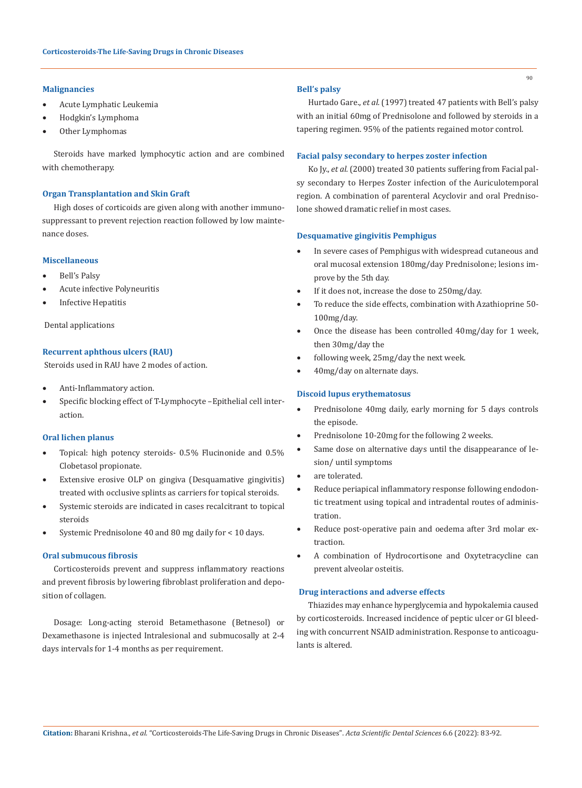## **Malignancies**

- Acute Lymphatic Leukemia
- Hodgkin's Lymphoma
- Other Lymphomas

Steroids have marked lymphocytic action and are combined with chemotherapy.

#### **Organ Transplantation and Skin Graft**

High doses of corticoids are given along with another immunosuppressant to prevent rejection reaction followed by low maintenance doses.

# **Miscellaneous**

- Bell's Palsy
- Acute infective Polyneuritis
- **Infective Hepatitis**

Dental applications

## **Recurrent aphthous ulcers (RAU)**

Steroids used in RAU have 2 modes of action.

- Anti-Inflammatory action.
- Specific blocking effect of T-Lymphocyte -Epithelial cell interaction.

#### **Oral lichen planus**

- Topical: high potency steroids- 0.5% Flucinonide and 0.5% Clobetasol propionate.
- • Extensive erosive OLP on gingiva (Desquamative gingivitis) treated with occlusive splints as carriers for topical steroids.
- Systemic steroids are indicated in cases recalcitrant to topical steroids
- Systemic Prednisolone 40 and 80 mg daily for < 10 days.

# **Oral submucous fibrosis**

Corticosteroids prevent and suppress inflammatory reactions and prevent fibrosis by lowering fibroblast proliferation and deposition of collagen.

Dosage: Long-acting steroid Betamethasone (Betnesol) or Dexamethasone is injected Intralesional and submucosally at 2-4 days intervals for 1-4 months as per requirement.

## **Bell's palsy**

Hurtado Gare., *et al.* (1997) treated 47 patients with Bell's palsy with an initial 60mg of Prednisolone and followed by steroids in a tapering regimen. 95% of the patients regained motor control.

## **Facial palsy secondary to herpes zoster infection**

Ko Jy., *et al.* (2000) treated 30 patients suffering from Facial palsy secondary to Herpes Zoster infection of the Auriculotemporal region. A combination of parenteral Acyclovir and oral Prednisolone showed dramatic relief in most cases.

## **Desquamative gingivitis Pemphigus**

- In severe cases of Pemphigus with widespread cutaneous and oral mucosal extension 180mg/day Prednisolone; lesions improve by the 5th day.
- If it does not, increase the dose to 250mg/day.
- To reduce the side effects, combination with Azathioprine 50-100mg/day.
- Once the disease has been controlled 40mg/day for 1 week, then 30mg/day the
- following week, 25mg/day the next week.
- 40mg/day on alternate days.

# **Discoid lupus erythematosus**

- Prednisolone 40mg daily, early morning for 5 days controls the episode.
- Prednisolone 10-20mg for the following 2 weeks.
- Same dose on alternative days until the disappearance of lesion/ until symptoms
- are tolerated.
- Reduce periapical inflammatory response following endodontic treatment using topical and intradental routes of administration.
- Reduce post-operative pain and oedema after 3rd molar extraction.
- • A combination of Hydrocortisone and Oxytetracycline can prevent alveolar osteitis.

#### **Drug interactions and adverse effects**

Thiazides may enhance hyperglycemia and hypokalemia caused by corticosteroids. Increased incidence of peptic ulcer or GI bleeding with concurrent NSAID administration. Response to anticoagulants is altered.

90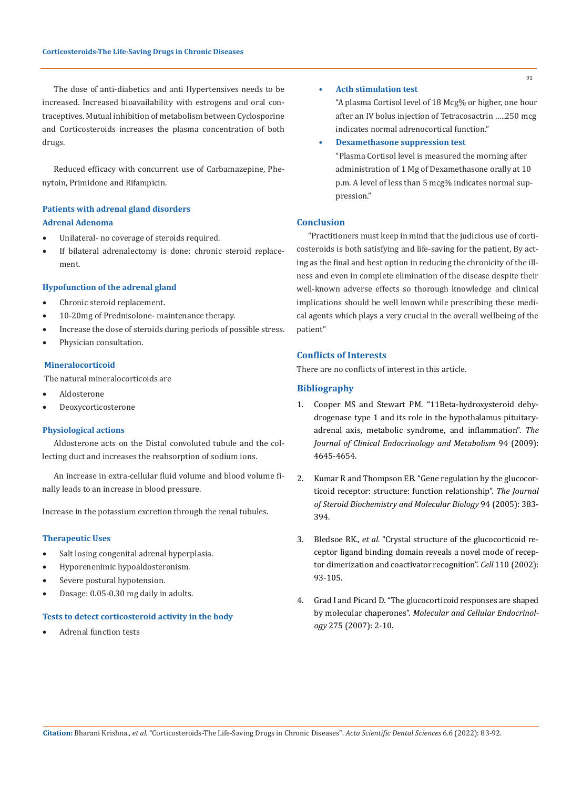The dose of anti-diabetics and anti Hypertensives needs to be increased. Increased bioavailability with estrogens and oral contraceptives. Mutual inhibition of metabolism between Cyclosporine and Corticosteroids increases the plasma concentration of both drugs.

Reduced efficacy with concurrent use of Carbamazepine, Phenytoin, Primidone and Rifampicin.

# **Patients with adrenal gland disorders Adrenal Adenoma**

- • Unilateral- no coverage of steroids required.
- If bilateral adrenalectomy is done: chronic steroid replacement.

#### **Hypofunction of the adrenal gland**

- Chronic steroid replacement.
- 10-20mg of Prednisolone- maintenance therapy.
- Increase the dose of steroids during periods of possible stress.
- Physician consultation.

#### **Mineralocorticoid**

The natural mineralocorticoids are

- **Aldosterone**
- **Deoxycorticosterone**

#### **Physiological actions**

Aldosterone acts on the Distal convoluted tubule and the collecting duct and increases the reabsorption of sodium ions.

An increase in extra-cellular fluid volume and blood volume finally leads to an increase in blood pressure.

Increase in the potassium excretion through the renal tubules.

# **Therapeutic Uses**

- • Salt losing congenital adrenal hyperplasia.
- Hyporenenimic hypoaldosteronism.
- Severe postural hypotension.
- • Dosage: 0.05-0.30 mg daily in adults.

#### **Tests to detect corticosteroid activity in the body**

Adrenal function tests

**• Acth stimulation test**

"A plasma Cortisol level of 18 Mcg% or higher, one hour after an IV bolus injection of Tetracosactrin …..250 mcg indicates normal adrenocortical function."

**• Dexamethasone suppression test** "Plasma Cortisol level is measured the morning after administration of 1 Mg of Dexamethasone orally at 10 p.m. A level of less than 5 mcg% indicates normal suppression."

# **Conclusion**

"Practitioners must keep in mind that the judicious use of corticosteroids is both satisfying and life-saving for the patient, By acting as the final and best option in reducing the chronicity of the illness and even in complete elimination of the disease despite their well-known adverse effects so thorough knowledge and clinical implications should be well known while prescribing these medical agents which plays a very crucial in the overall wellbeing of the patient"

# **Conflicts of Interests**

There are no conflicts of interest in this article.

# **Bibliography**

- 1. [Cooper MS and Stewart PM. "11Beta-hydroxysteroid dehy](https://pubmed.ncbi.nlm.nih.gov/19837912/)[drogenase type 1 and its role in the hypothalamus pituitary](https://pubmed.ncbi.nlm.nih.gov/19837912/)[adrenal axis, metabolic syndrome, and inflammation".](https://pubmed.ncbi.nlm.nih.gov/19837912/) *The [Journal of Clinical Endocrinology and Metabolism](https://pubmed.ncbi.nlm.nih.gov/19837912/)* 94 (2009): [4645-4654.](https://pubmed.ncbi.nlm.nih.gov/19837912/)
- 2. [Kumar R and Thompson EB. "Gene regulation by the glucocor](https://pubmed.ncbi.nlm.nih.gov/15876404/)[ticoid receptor: structure: function relationship".](https://pubmed.ncbi.nlm.nih.gov/15876404/) *The Journal [of Steroid Biochemistry and Molecular Biology](https://pubmed.ncbi.nlm.nih.gov/15876404/)* 94 (2005): 383- [394.](https://pubmed.ncbi.nlm.nih.gov/15876404/)
- 3. Bledsoe RK., *et al.* ["Crystal structure of the glucocorticoid re](https://pubmed.ncbi.nlm.nih.gov/12151000/)[ceptor ligand binding domain reveals a novel mode of recep](https://pubmed.ncbi.nlm.nih.gov/12151000/)[tor dimerization and coactivator recognition".](https://pubmed.ncbi.nlm.nih.gov/12151000/) *Cell* 110 (2002): [93-105.](https://pubmed.ncbi.nlm.nih.gov/12151000/)
- 4. [Grad I and Picard D. "The glucocorticoid responses are shaped](https://pubmed.ncbi.nlm.nih.gov/17628337/)  by molecular chaperones". *[Molecular and Cellular Endocrinol](https://pubmed.ncbi.nlm.nih.gov/17628337/)ogy* [275 \(2007\): 2-10.](https://pubmed.ncbi.nlm.nih.gov/17628337/)